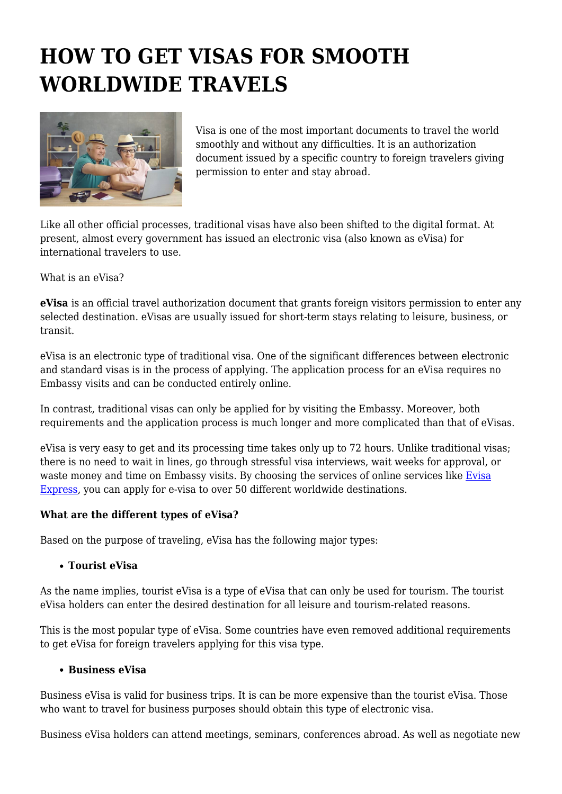# **HOW TO GET VISAS FOR SMOOTH WORLDWIDE TRAVELS**



Visa is one of the most important documents to travel the world smoothly and without any difficulties. It is an authorization document issued by a specific country to foreign travelers giving permission to enter and stay abroad.

Like all other official processes, traditional visas have also been shifted to the digital format. At present, almost every government has issued an electronic visa (also known as eVisa) for international travelers to use.

What is an eVisa?

**eVisa** is an official travel authorization document that grants foreign visitors permission to enter any selected destination. eVisas are usually issued for short-term stays relating to leisure, business, or transit.

eVisa is an electronic type of traditional visa. One of the significant differences between electronic and standard visas is in the process of applying. The application process for an eVisa requires no Embassy visits and can be conducted entirely online.

In contrast, traditional visas can only be applied for by visiting the Embassy. Moreover, both requirements and the application process is much longer and more complicated than that of eVisas.

eVisa is very easy to get and its processing time takes only up to 72 hours. Unlike traditional visas; there is no need to wait in lines, go through stressful visa interviews, wait weeks for approval, or waste money and time on Embassy visits. By choosing the services of online services like [Evisa](https://evisa.express/) [Express](https://evisa.express/), you can apply for e-visa to over 50 different worldwide destinations.

#### **What are the different types of eVisa?**

Based on the purpose of traveling, eVisa has the following major types:

#### **Tourist eVisa**

As the name implies, tourist eVisa is a type of eVisa that can only be used for tourism. The tourist eVisa holders can enter the desired destination for all leisure and tourism-related reasons.

This is the most popular type of eVisa. Some countries have even removed additional requirements to get eVisa for foreign travelers applying for this visa type.

#### **Business eVisa**

Business eVisa is valid for business trips. It is can be more expensive than the tourist eVisa. Those who want to travel for business purposes should obtain this type of electronic visa.

Business eVisa holders can attend meetings, seminars, conferences abroad. As well as negotiate new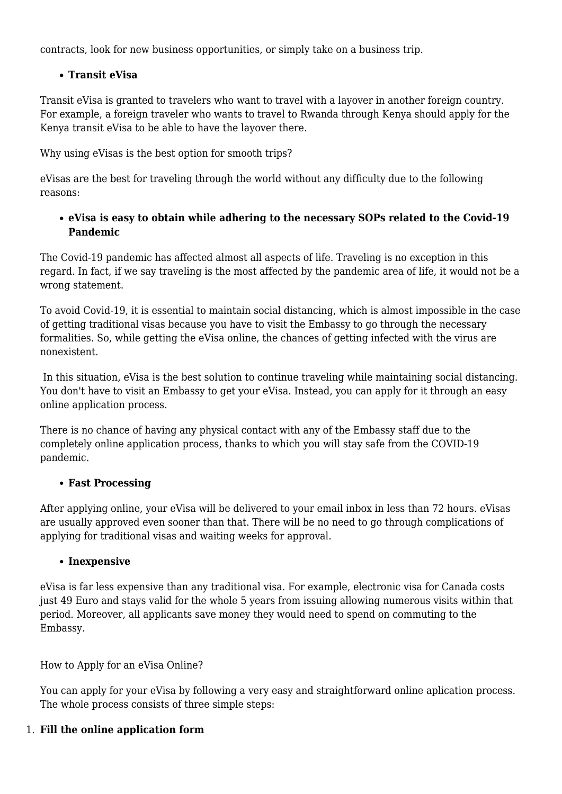contracts, look for new business opportunities, or simply take on a business trip.

# **Transit eVisa**

Transit eVisa is granted to travelers who want to travel with a layover in another foreign country. For example, a foreign traveler who wants to travel to Rwanda through Kenya should apply for the Kenya transit eVisa to be able to have the layover there.

Why using eVisas is the best option for smooth trips?

eVisas are the best for traveling through the world without any difficulty due to the following reasons:

## **eVisa is easy to obtain while adhering to the necessary SOPs related to the Covid-19 Pandemic**

The Covid-19 pandemic has affected almost all aspects of life. Traveling is no exception in this regard. In fact, if we say traveling is the most affected by the pandemic area of life, it would not be a wrong statement.

To avoid Covid-19, it is essential to maintain social distancing, which is almost impossible in the case of getting traditional visas because you have to visit the Embassy to go through the necessary formalities. So, while getting the eVisa online, the chances of getting infected with the virus are nonexistent.

 In this situation, eVisa is the best solution to continue traveling while maintaining social distancing. You don't have to visit an Embassy to get your eVisa. Instead, you can apply for it through an easy online application process.

There is no chance of having any physical contact with any of the Embassy staff due to the completely online application process, thanks to which you will stay safe from the COVID-19 pandemic.

# **Fast Processing**

After applying online, your eVisa will be delivered to your email inbox in less than 72 hours. eVisas are usually approved even sooner than that. There will be no need to go through complications of applying for traditional visas and waiting weeks for approval.

# **Inexpensive**

eVisa is far less expensive than any traditional visa. For example, electronic visa for Canada costs just 49 Euro and stays valid for the whole 5 years from issuing allowing numerous visits within that period. Moreover, all applicants save money they would need to spend on commuting to the Embassy.

How to Apply for an eVisa Online?

You can apply for your eVisa by following a very easy and straightforward online aplication process. The whole process consists of three simple steps:

# 1. **Fill the online application form**